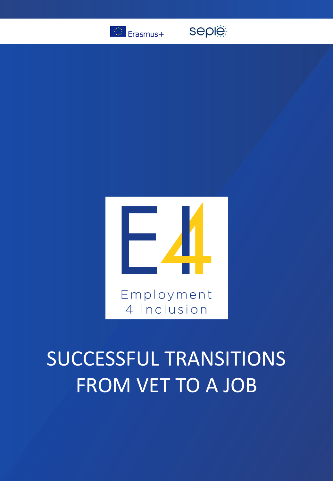

seple



# SUCCESSFUL TRANSITIONS FROM VET TO A JOB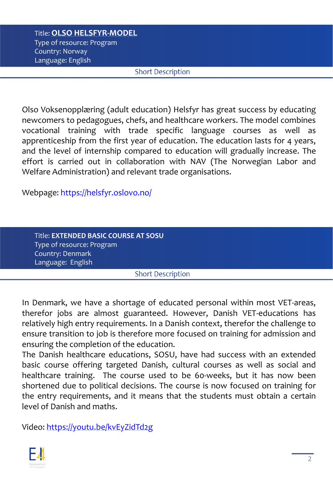## Title: **OLSO HELSFYR-MODEL** Type of resource: Program Country: Norway Language: English

#### **Short Description**

Olso Voksenopplæring (adult education) Helsfyr has great success by educating newcomers to pedagogues, chefs, and healthcare workers. The model combines vocational training with trade specific language courses as well as apprenticeship from the first year of education. The education lasts for 4 years, and the level of internship compared to education will gradually increase. The effort is carried out in collaboration with NAV (The Norwegian Labor and Welfare Administration) and relevant trade organisations.

Webpage: <https://helsfyr.oslovo.no/>

| Title: EXTENDED BASIC COURSE AT SOSU |                          |  |
|--------------------------------------|--------------------------|--|
| Type of resource: Program '          |                          |  |
| Country: Denmark                     |                          |  |
| Language: English                    |                          |  |
|                                      | <b>Short Description</b> |  |

In Denmark, we have a shortage of educated personal within most VET-areas, therefor jobs are almost guaranteed. However, Danish VET-educations has relatively high entry requirements. In a Danish context, therefor the challenge to ensure transition to job is therefore more focused on training for admission and ensuring the completion of the education.

The Danish healthcare educations, SOSU, have had success with an extended basic course offering targeted Danish, cultural courses as well as social and healthcare training. The course used to be 60-weeks, but it has now been shortened due to political decisions. The course is now focused on training for the entry requirements, and it means that the students must obtain a certain level of Danish and maths.

Video: <https://youtu.be/kvEyZidTd2g>